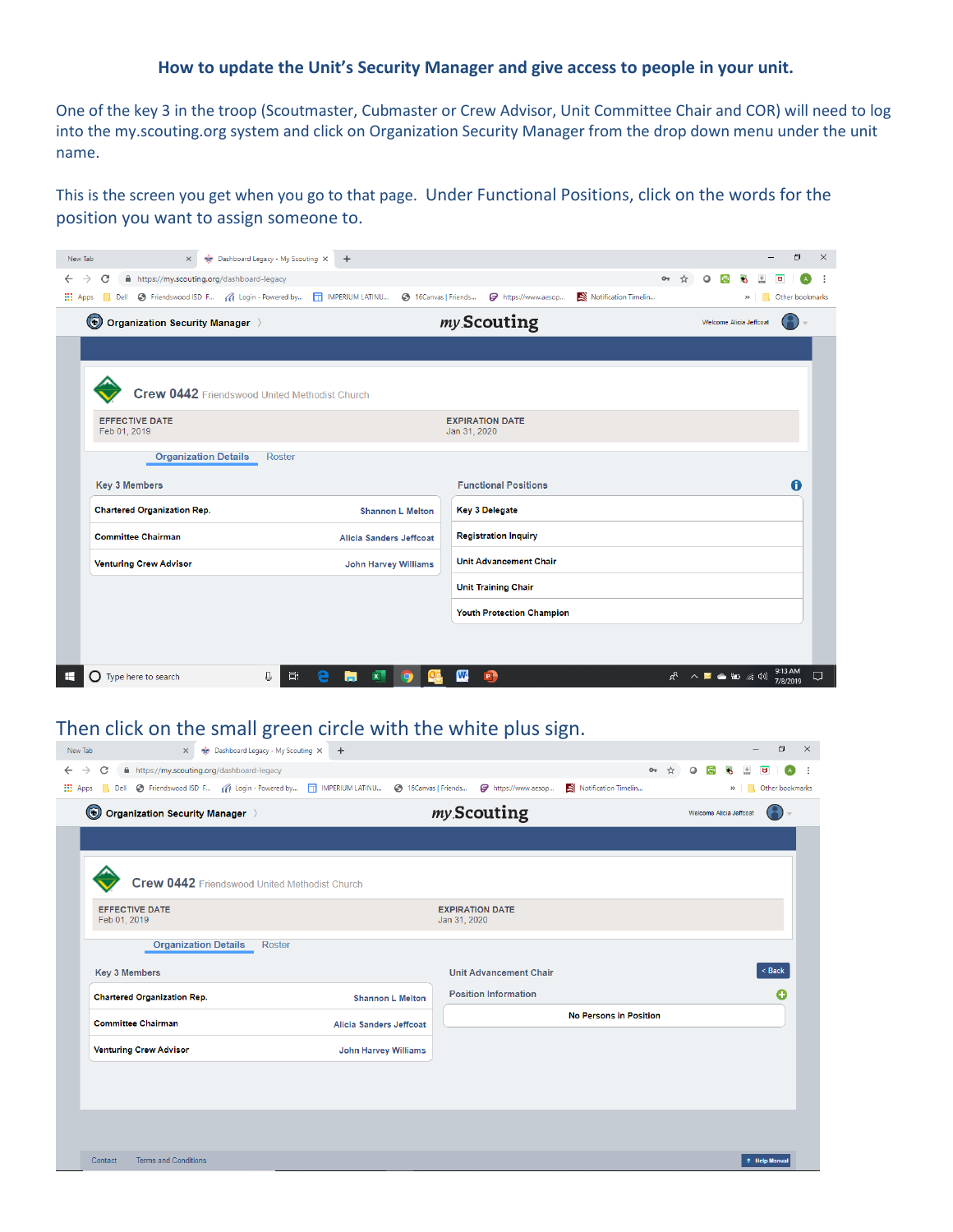## **How to update the Unit's Security Manager and give access to people in your unit.**

One of the key 3 in the troop (Scoutmaster, Cubmaster or Crew Advisor, Unit Committee Chair and COR) will need to log into the my.scouting.org system and click on Organization Security Manager from the drop down menu under the unit name.

This is the screen you get when you go to that page. Under Functional Positions, click on the words for the position you want to assign someone to.

| New Tab                            | $\times$                                   | Dashboard Legacy - My Scouting X                                                                            | $+$                     |                             |              |                                  |                      |       |                              |                         | O                   | $\times$ |
|------------------------------------|--------------------------------------------|-------------------------------------------------------------------------------------------------------------|-------------------------|-----------------------------|--------------|----------------------------------|----------------------|-------|------------------------------|-------------------------|---------------------|----------|
| C<br>$\rightarrow$<br>$\leftarrow$ | A https://my.scouting.org/dashboard-legacy |                                                                                                             |                         |                             |              |                                  |                      | $O_T$ | Ω                            |                         |                     |          |
| <b>III</b> Apps                    |                                            | Dell C Friendswood ISD F (4 Login - Powered by   IMPERIUM LATINU @ 16Canvas   Friends   7 https://www.aesop |                         |                             |              |                                  | Notification Timelin |       |                              | $\rightarrow$           | Other bookmarks     |          |
| $\circledcirc$                     | Organization Security Manager >            |                                                                                                             |                         |                             |              | my Scouting                      |                      |       |                              | Welcome Alicia Jeffcoal |                     |          |
|                                    |                                            |                                                                                                             |                         |                             |              |                                  |                      |       |                              |                         |                     |          |
|                                    |                                            | Crew 0442 Friendswood United Methodist Church                                                               |                         |                             |              |                                  |                      |       |                              |                         |                     |          |
| Feb 01, 2019                       | <b>EFFECTIVE DATE</b>                      |                                                                                                             |                         |                             | Jan 31, 2020 | <b>EXPIRATION DATE</b>           |                      |       |                              |                         |                     |          |
|                                    | <b>Organization Details</b>                | <b>Roster</b>                                                                                               |                         |                             |              |                                  |                      |       |                              |                         |                     |          |
| <b>Key 3 Members</b>               |                                            |                                                                                                             |                         |                             |              | <b>Functional Positions</b>      |                      |       |                              |                         | A                   |          |
|                                    | <b>Chartered Organization Rep.</b>         |                                                                                                             |                         | <b>Shannon L Melton</b>     |              | <b>Key 3 Delegate</b>            |                      |       |                              |                         |                     |          |
|                                    | <b>Committee Chairman</b>                  |                                                                                                             | Alicia Sanders Jeffcoat |                             |              | <b>Registration Inquiry</b>      |                      |       |                              |                         |                     |          |
|                                    | <b>Venturing Crew Advisor</b>              |                                                                                                             |                         | <b>John Harvey Williams</b> |              | <b>Unit Advancement Chair</b>    |                      |       |                              |                         |                     |          |
|                                    |                                            |                                                                                                             |                         |                             |              | <b>Unit Training Chair</b>       |                      |       |                              |                         |                     |          |
|                                    |                                            |                                                                                                             |                         |                             |              | <b>Youth Protection Champion</b> |                      |       |                              |                         |                     |          |
|                                    |                                            |                                                                                                             |                         |                             |              |                                  |                      |       |                              |                         |                     |          |
| ÷                                  | $\bigcap$ Type here to search              | ₽<br>Ξi                                                                                                     |                         |                             | W            | P <sup>1</sup>                   |                      |       | $R^2 \wedge R = \square$ (a) |                         | 9:13 AM<br>7/8/2019 | U        |

## Then click on the small green circle with the white plus sign.

| New Tab<br>$\times$                                                           | Dashboard Legacy - My Scouting X<br>$+$                                                                      |              |                               |                               |            |         |                         |               | σ               | $\mathsf{X}$ |
|-------------------------------------------------------------------------------|--------------------------------------------------------------------------------------------------------------|--------------|-------------------------------|-------------------------------|------------|---------|-------------------------|---------------|-----------------|--------------|
| A https://my.scouting.org/dashboard-legacy<br>C<br>$\leftarrow$ $\rightarrow$ |                                                                                                              |              |                               |                               | $O_T$<br>☆ | $\circ$ | G<br>÷.                 |               | $\overline{a}$  |              |
| <b>III</b> Apps                                                               | Dell @ Friendswood ISD F ((f Login - Powered by [   IMPERIUM LATINU @ 16Canvas   Friends @ https://www.aesop |              |                               | Notification Timelin          |            |         |                         | $\mathcal{V}$ | Other bookmarks |              |
| $\bigcirc$ Organization Security Manager $\setminus$                          |                                                                                                              |              | my Scouting                   |                               |            |         | Welcome Alicia Jeffcoat |               |                 |              |
|                                                                               |                                                                                                              |              |                               |                               |            |         |                         |               |                 |              |
|                                                                               | Crew 0442 Friendswood United Methodist Church                                                                |              |                               |                               |            |         |                         |               |                 |              |
| <b>EFFECTIVE DATE</b><br>Feb 01, 2019                                         |                                                                                                              | Jan 31, 2020 | <b>EXPIRATION DATE</b>        |                               |            |         |                         |               |                 |              |
| <b>Organization Details</b>                                                   | Roster                                                                                                       |              |                               |                               |            |         |                         |               |                 |              |
| <b>Key 3 Members</b>                                                          |                                                                                                              |              | <b>Unit Advancement Chair</b> |                               |            |         |                         |               | $8$ Back        |              |
| <b>Chartered Organization Rep.</b>                                            | <b>Shannon L Melton</b>                                                                                      |              | <b>Position Information</b>   |                               |            |         |                         |               | c               |              |
| <b>Committee Chairman</b>                                                     | Alicia Sanders Jeffcoat                                                                                      |              |                               | <b>No Persons in Position</b> |            |         |                         |               |                 |              |
| <b>Venturing Crew Advisor</b>                                                 | <b>John Harvey Williams</b>                                                                                  |              |                               |                               |            |         |                         |               |                 |              |
|                                                                               |                                                                                                              |              |                               |                               |            |         |                         |               |                 |              |
|                                                                               |                                                                                                              |              |                               |                               |            |         |                         |               |                 |              |
|                                                                               |                                                                                                              |              |                               |                               |            |         |                         |               |                 |              |
| <b>Terms and Conditions</b><br>Contact                                        |                                                                                                              |              |                               |                               |            |         |                         |               | ? Help Manua    |              |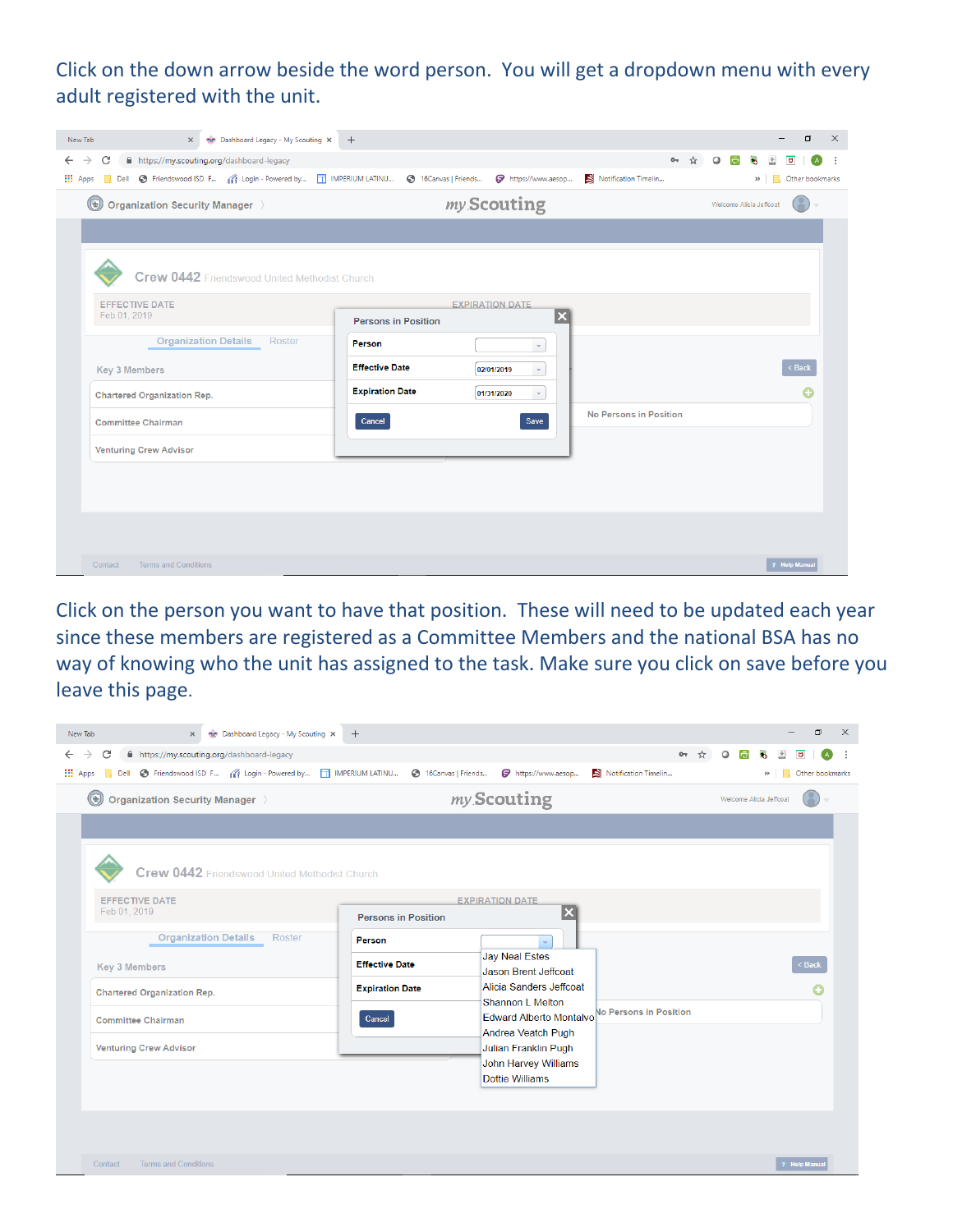## Click on the down arrow beside the word person. You will get a dropdown menu with every adult registered with the unit.

| Dashboard Legacy - My Scouting X +<br>New Tab<br>$\times$                                                                                                                |                                                                                 | σ<br>$\times$                                                                 |
|--------------------------------------------------------------------------------------------------------------------------------------------------------------------------|---------------------------------------------------------------------------------|-------------------------------------------------------------------------------|
| A https://my.scouting.org/dashboard-legacy<br>C<br>$\rightarrow$<br>$\leftarrow$<br>Dell C Friendswood ISD F (1) Login - Powered by T IMPERIUM LATINU<br><b>III</b> Apps | https://www.aesop<br><b>6</b> 16Canvas   Friends                                | $O_T$<br>☆<br>$\circ$<br>a<br>đ<br>Notification Timelin<br>>> Other bookmarks |
| $(\mathbf{t})$<br>Organization Security Manager >                                                                                                                        | my Scouting                                                                     | Welcome Alicia Jeffcoat                                                       |
|                                                                                                                                                                          |                                                                                 |                                                                               |
| Crew 0442 Friendswood United Methodist Church                                                                                                                            |                                                                                 |                                                                               |
| <b>EFFECTIVE DATE</b><br>Feb 01, 2019                                                                                                                                    | <b>EXPIRATION DATE</b><br>$\overline{\mathbf{x}}$<br><b>Persons in Position</b> |                                                                               |
| <b>Organization Details</b><br>Roster                                                                                                                                    | Person<br>$\mathbf{v}$                                                          |                                                                               |
| <b>Key 3 Members</b>                                                                                                                                                     | <b>Effective Date</b><br>02/01/2019<br>$\mathbf{v}$                             | < Back                                                                        |
| <b>Chartered Organization Rep.</b>                                                                                                                                       | <b>Expiration Date</b><br>01/31/2020<br>$\mathbf{v}$                            |                                                                               |
| <b>Committee Chairman</b>                                                                                                                                                | Save<br>Cancel                                                                  | No Persons in Position                                                        |
| <b>Venturing Crew Advisor</b>                                                                                                                                            |                                                                                 |                                                                               |
|                                                                                                                                                                          |                                                                                 |                                                                               |
|                                                                                                                                                                          |                                                                                 |                                                                               |
|                                                                                                                                                                          |                                                                                 |                                                                               |
| <b>Terms and Conditions</b><br>Contact                                                                                                                                   |                                                                                 | ? Help Manua                                                                  |

Click on the person you want to have that position. These will need to be updated each year since these members are registered as a Committee Members and the national BSA has no way of knowing who the unit has assigned to the task. Make sure you click on save before you leave this page.

| Dashboard Legacy - My Scouting X<br>New Tab<br>$\times$                                                                                                                | $+$                                                                                                                                     | Ο<br>$\times$                                                         |
|------------------------------------------------------------------------------------------------------------------------------------------------------------------------|-----------------------------------------------------------------------------------------------------------------------------------------|-----------------------------------------------------------------------|
| A https://my.scouting.org/dashboard-legacy<br>C<br>$\rightarrow$<br>$\leftarrow$<br>Dell C Friendswood ISD F ( Login - Powered by T IMPERIUM LATINU<br><b>III</b> Apps | 16Canvas   Friends<br>https://www.aesop                                                                                                 | $O_T$<br>$\Omega$<br>Notification Timelin<br>Other bookmarks<br>$\gg$ |
| $\mathbf{\widehat{F}}$<br>Organization Security Manager >                                                                                                              | my Scouting                                                                                                                             | Welcome Alicia Jeffcoat                                               |
| Crew 0442 Friendswood United Methodist Church<br><b>EFFECTIVE DATE</b><br>Feb 01, 2019                                                                                 | <b>EXPIRATION DATE</b><br><b>Persons in Position</b>                                                                                    | $\overline{\mathbf{x}}$                                               |
| <b>Organization Details</b><br>Roster<br><b>Key 3 Members</b>                                                                                                          | <b>Person</b><br><b>Jay Neal Estes</b><br><b>Effective Date</b><br>Jason Brent Jeffcoat                                                 | < Back                                                                |
| <b>Chartered Organization Rep.</b><br><b>Committee Chairman</b>                                                                                                        | Alicia Sanders Jeffcoat<br><b>Expiration Date</b><br>Shannon L Melton<br><b>Edward Alberto Montalvo</b><br>Cancel<br>Andrea Veatch Pugh | No Persons in Position                                                |
| <b>Venturing Crew Advisor</b>                                                                                                                                          | Julian Franklin Pugh<br>John Harvey Williams<br><b>Dottie Williams</b>                                                                  |                                                                       |
| <b>Terms and Conditions</b><br>Contact                                                                                                                                 |                                                                                                                                         | ? Help Manua                                                          |